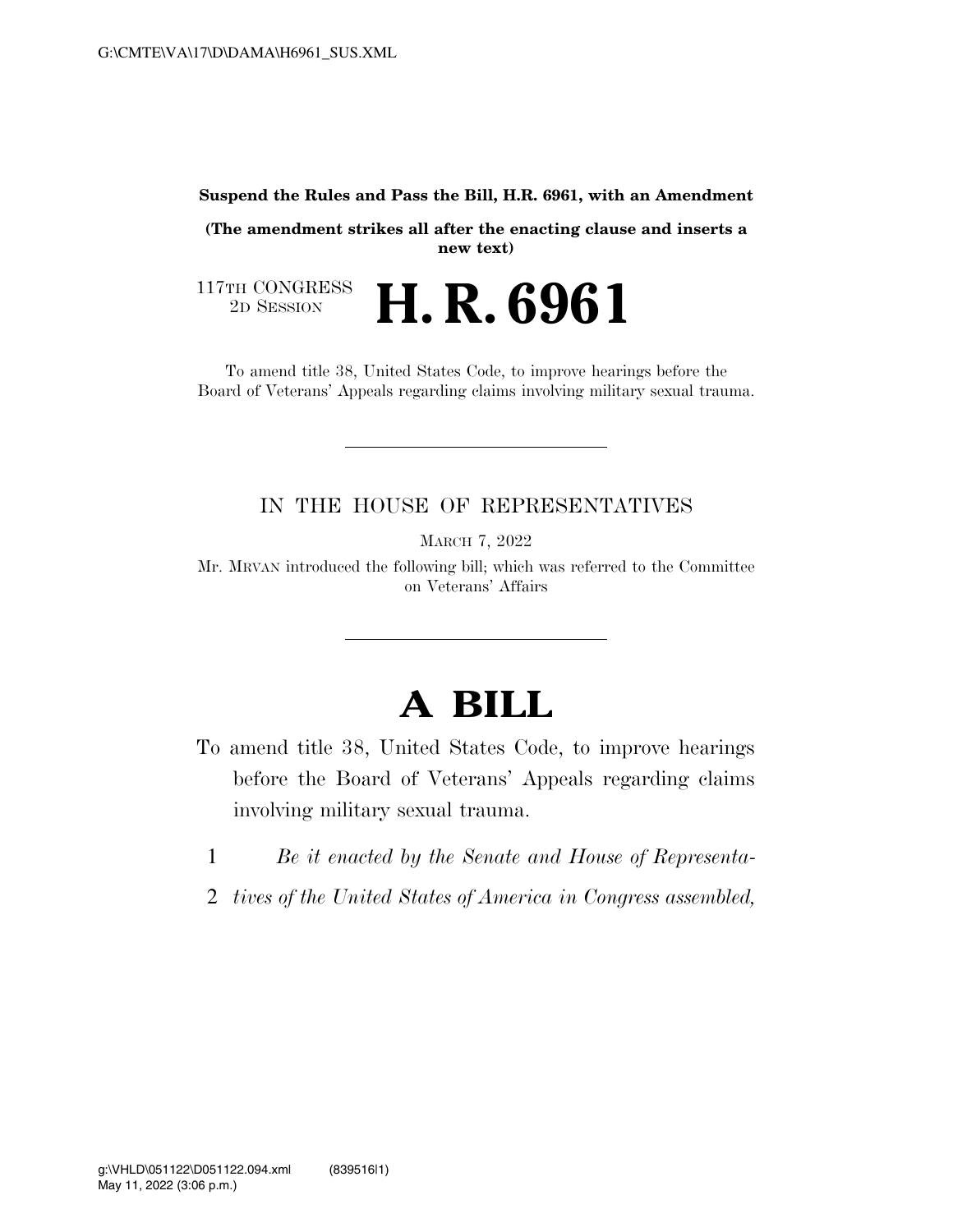## **Suspend the Rules and Pass the Bill, H.R. 6961, with an Amendment**

**(The amendment strikes all after the enacting clause and inserts a new text)** 

117TH CONGRESS<br>2D SESSION 2D SESSION **H. R. 6961** 

To amend title 38, United States Code, to improve hearings before the Board of Veterans' Appeals regarding claims involving military sexual trauma.

## IN THE HOUSE OF REPRESENTATIVES

MARCH 7, 2022

Mr. MRVAN introduced the following bill; which was referred to the Committee on Veterans' Affairs

## **A BILL**

- To amend title 38, United States Code, to improve hearings before the Board of Veterans' Appeals regarding claims involving military sexual trauma.
	- 1 *Be it enacted by the Senate and House of Representa-*
	- 2 *tives of the United States of America in Congress assembled,*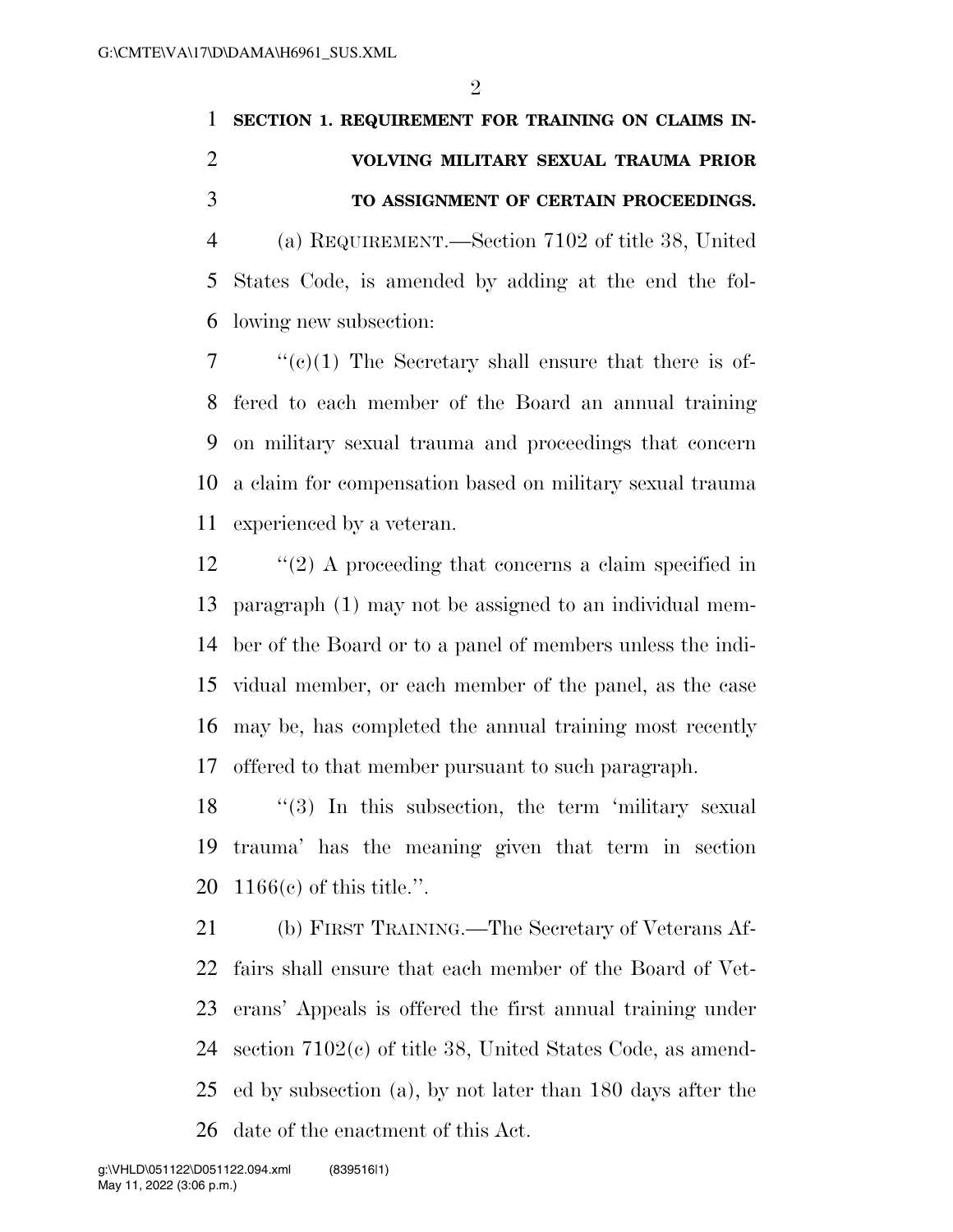## **SECTION 1. REQUIREMENT FOR TRAINING ON CLAIMS IN- VOLVING MILITARY SEXUAL TRAUMA PRIOR TO ASSIGNMENT OF CERTAIN PROCEEDINGS.**

 (a) REQUIREMENT.—Section 7102 of title 38, United States Code, is amended by adding at the end the fol-lowing new subsection:

 ''(c)(1) The Secretary shall ensure that there is of- fered to each member of the Board an annual training on military sexual trauma and proceedings that concern a claim for compensation based on military sexual trauma experienced by a veteran.

12 ''(2) A proceeding that concerns a claim specified in paragraph (1) may not be assigned to an individual mem- ber of the Board or to a panel of members unless the indi- vidual member, or each member of the panel, as the case may be, has completed the annual training most recently offered to that member pursuant to such paragraph.

18 "(3) In this subsection, the term 'military sexual trauma' has the meaning given that term in section 1166(c) of this title.''.

 (b) FIRST TRAINING.—The Secretary of Veterans Af- fairs shall ensure that each member of the Board of Vet- erans' Appeals is offered the first annual training under section 7102(c) of title 38, United States Code, as amend- ed by subsection (a), by not later than 180 days after the date of the enactment of this Act.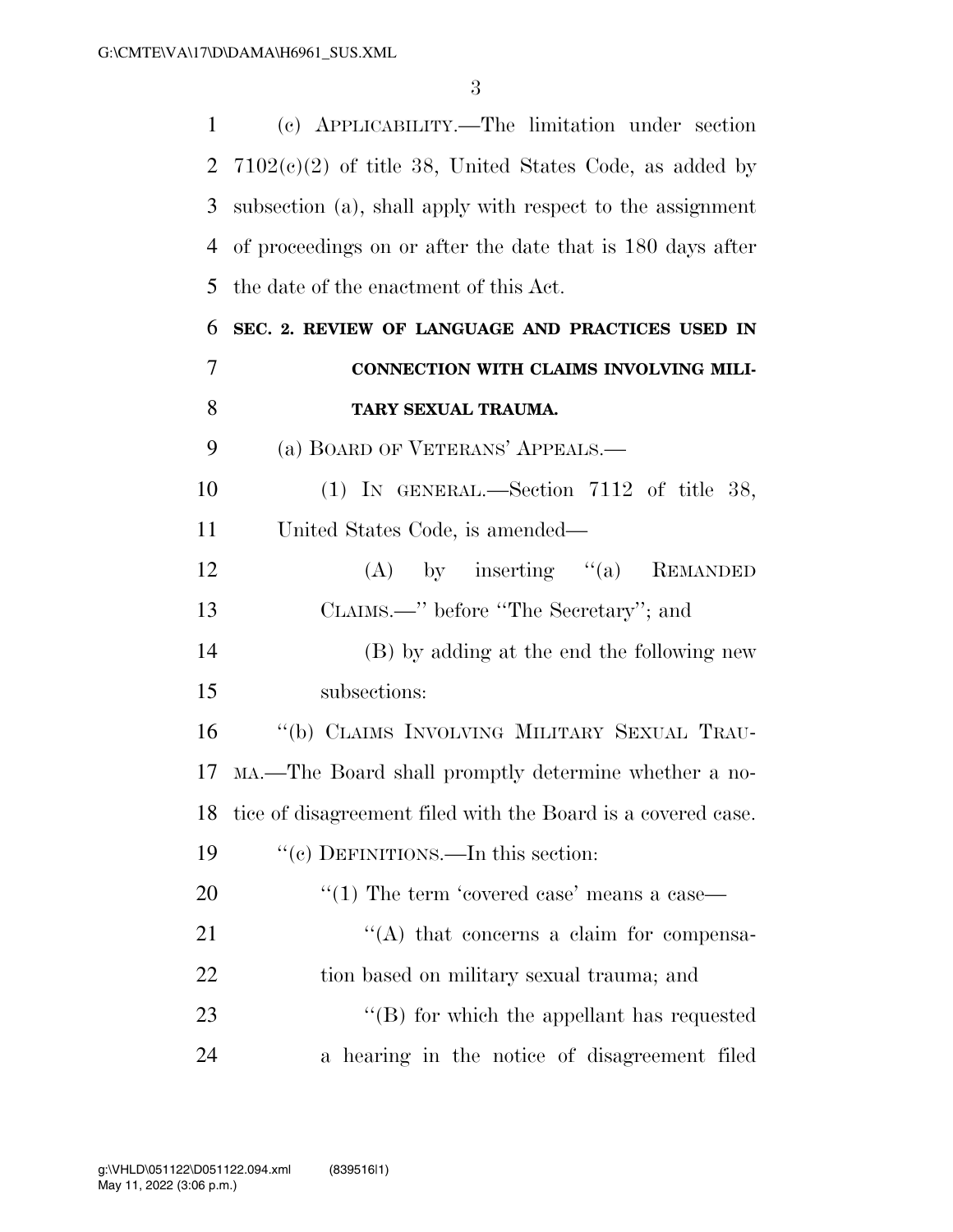| $\mathbf{1}$ | (c) APPLICABILITY.—The limitation under section                 |
|--------------|-----------------------------------------------------------------|
| 2            | $7102(e)(2)$ of title 38, United States Code, as added by       |
| 3            | subsection (a), shall apply with respect to the assignment      |
| 4            | of proceedings on or after the date that is 180 days after      |
| 5            | the date of the enactment of this Act.                          |
| 6            | SEC. 2. REVIEW OF LANGUAGE AND PRACTICES USED IN                |
| 7            | CONNECTION WITH CLAIMS INVOLVING MILI-                          |
| 8            | TARY SEXUAL TRAUMA.                                             |
| 9            | (a) BOARD OF VETERANS' APPEALS.—                                |
| 10           | (1) IN GENERAL.—Section $7112$ of title 38,                     |
| 11           | United States Code, is amended—                                 |
| 12           | (A) by inserting $(a)$<br><b>REMANDED</b>                       |
| 13           | CLAIMS.—" before "The Secretary"; and                           |
| 14           | (B) by adding at the end the following new                      |
| 15           | subsections:                                                    |
| 16           | "(b) CLAIMS INVOLVING MILITARY SEXUAL TRAU-                     |
| 17           | MA.—The Board shall promptly determine whether a no-            |
|              | 18 tice of disagreement filed with the Board is a covered case. |
| 19           | "(c) DEFINITIONS.—In this section:                              |
| 20           | "(1) The term 'covered case' means a case—                      |
| 21           | $\lq\lq$ that concerns a claim for compensa-                    |
| 22           | tion based on military sexual trauma; and                       |
| 23           | $\lq\lq$ for which the appellant has requested                  |
| 24           | a hearing in the notice of disagreement filed                   |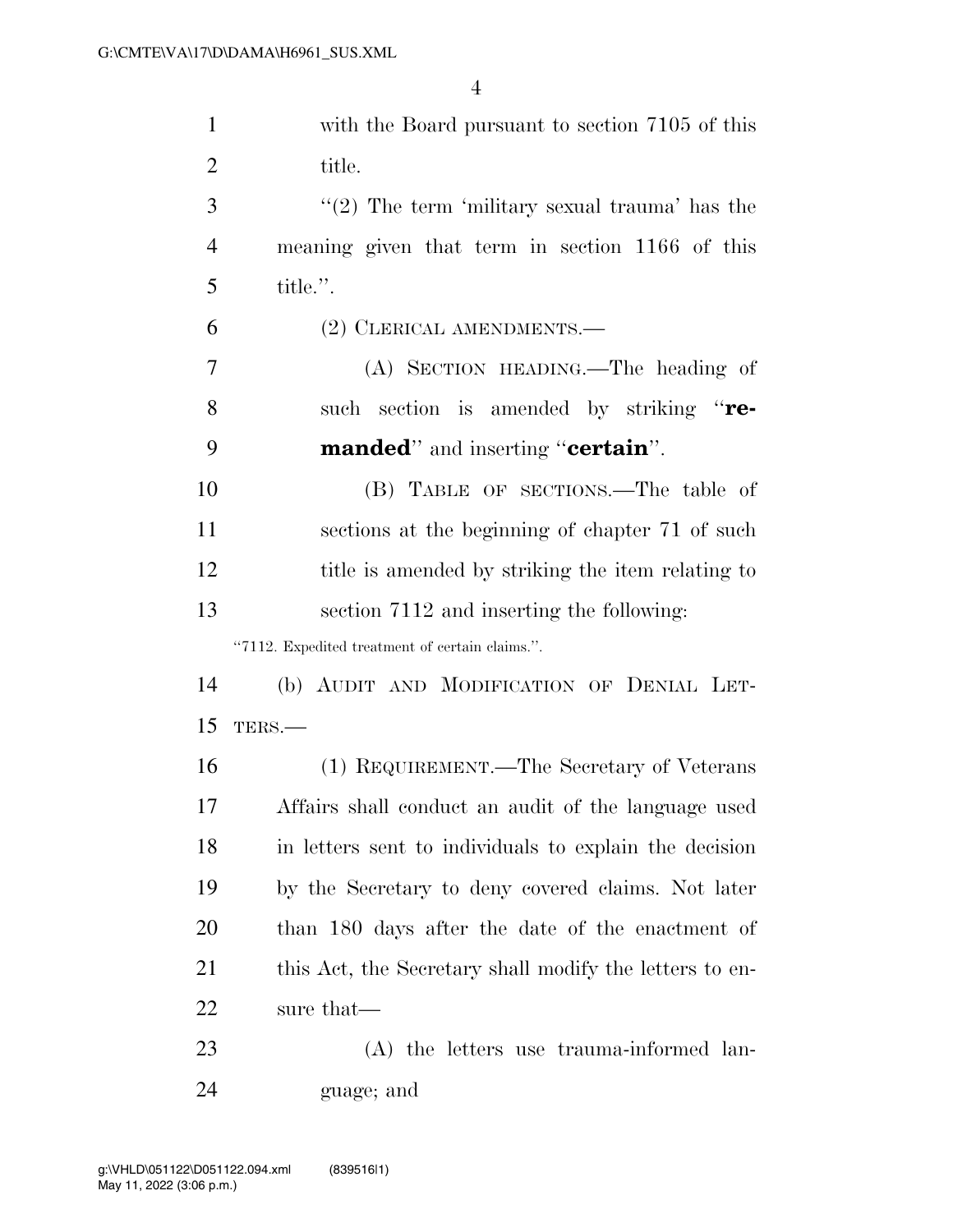| $\mathbf{1}$   | with the Board pursuant to section 7105 of this         |
|----------------|---------------------------------------------------------|
| $\overline{2}$ | title.                                                  |
| 3              | $\lq(2)$ The term 'military sexual trauma' has the      |
| $\overline{4}$ | meaning given that term in section 1166 of this         |
| 5              | title.".                                                |
| 6              | (2) CLERICAL AMENDMENTS.                                |
| 7              | (A) SECTION HEADING.—The heading of                     |
| 8              | such section is amended by striking "re-                |
| 9              | <b>manded</b> " and inserting " <b>certain</b> ".       |
| 10             | (B) TABLE OF SECTIONS.—The table of                     |
| 11             | sections at the beginning of chapter 71 of such         |
| 12             | title is amended by striking the item relating to       |
| 13             | section 7112 and inserting the following:               |
|                | "7112. Expedited treatment of certain claims.".         |
| 14             | (b) AUDIT AND MODIFICATION OF DENIAL LET-               |
| 15             | TERS.-                                                  |
| 16             | (1) REQUIREMENT.—The Secretary of Veterans              |
| 17             | Affairs shall conduct an audit of the language used     |
| 18             | in letters sent to individuals to explain the decision  |
| 19             | by the Secretary to deny covered claims. Not later      |
| 20             | than 180 days after the date of the enactment of        |
| 21             | this Act, the Secretary shall modify the letters to en- |
| 22             | sure that—                                              |
| 23             | (A) the letters use trauma-informed lan-                |
| 24             | guage; and                                              |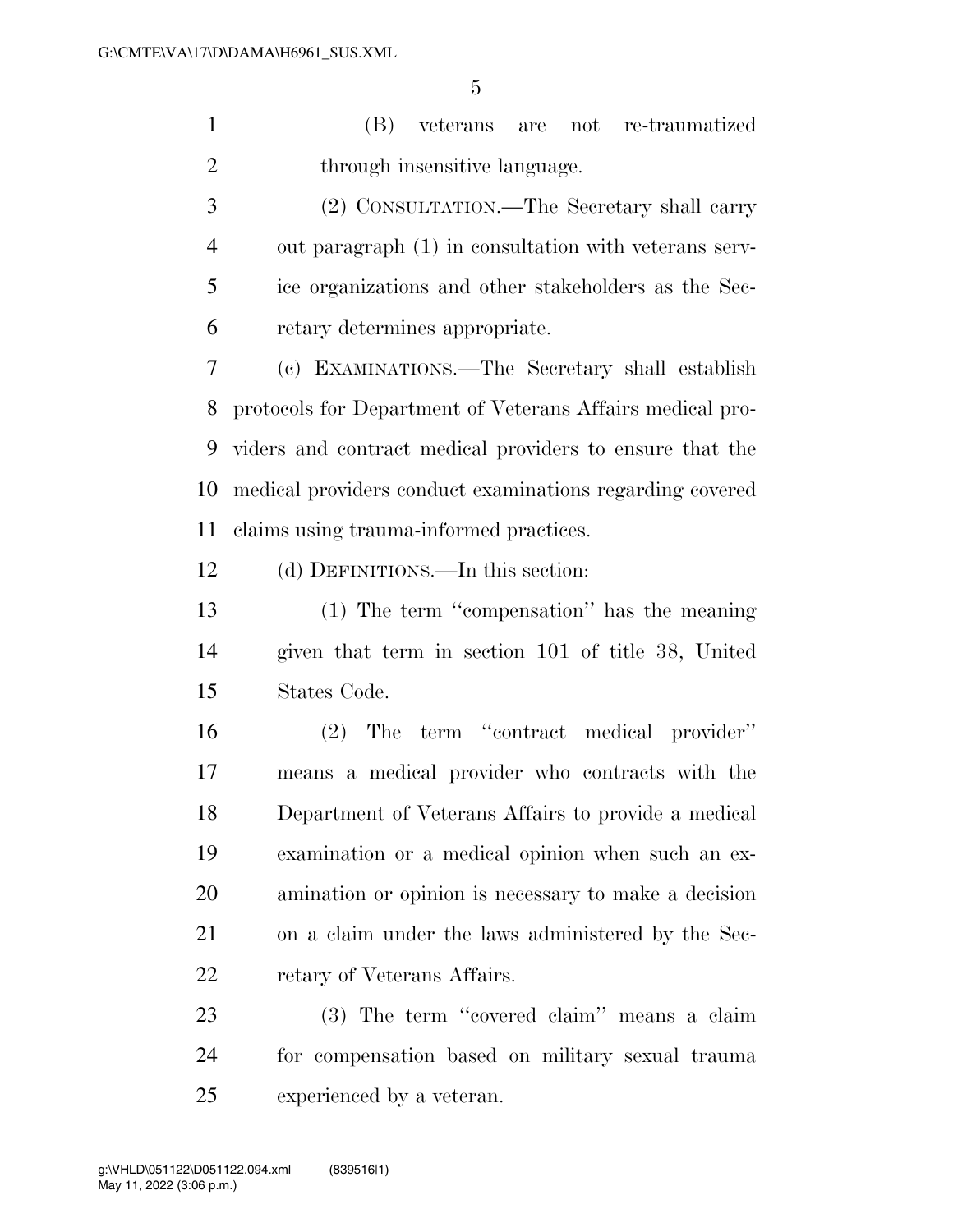(B) veterans are not re-traumatized 2 through insensitive language.

 (2) CONSULTATION.—The Secretary shall carry out paragraph (1) in consultation with veterans serv- ice organizations and other stakeholders as the Sec-retary determines appropriate.

 (c) EXAMINATIONS.—The Secretary shall establish protocols for Department of Veterans Affairs medical pro- viders and contract medical providers to ensure that the medical providers conduct examinations regarding covered claims using trauma-informed practices.

(d) DEFINITIONS.—In this section:

 (1) The term ''compensation'' has the meaning given that term in section 101 of title 38, United States Code.

 (2) The term ''contract medical provider'' means a medical provider who contracts with the Department of Veterans Affairs to provide a medical examination or a medical opinion when such an ex- amination or opinion is necessary to make a decision on a claim under the laws administered by the Sec-22 retary of Veterans Affairs.

23 (3) The term "covered claim" means a claim for compensation based on military sexual trauma experienced by a veteran.